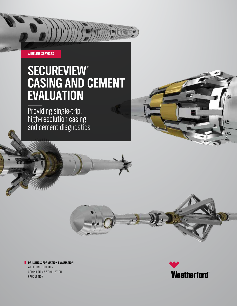**WIRELINE SERVICES**

## **SECUREVIEW® CASING AND CEMENT EVALUATION**

Providing single-trip, high-resolution casing and cement diagnostics





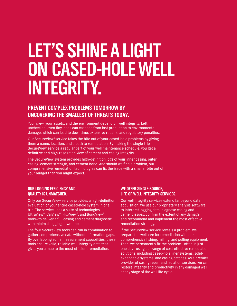# **LET'S SHINE A LIGHT ON CASED-HOLE WELL INTEGRITY.**

#### **PREVENT COMPLEX PROBLEMS TOMORROW BY UNCOVERING THE SMALLEST OF THREATS TODAY.**

Your crew, your assets, and the environment depend on well integrity. Left unchecked, even tiny leaks can cascade from lost production to environmental damage, which can lead to downtime, extensive repairs, and regulatory penalties.

Our SecureView® service takes the bite out of your cased-hole problems by giving them a name, location, and a path to remediation. By making the single-trip SecureView service a regular part of your well maintenance schedule, you get a definitive and high-resolution view of cement and casing integrity.

The SecureView system provides high-definition logs of your inner casing, outer casing, cement strength, and cement bond. And should we find a problem, our comprehensive remediation technologies can fix the issue with a smaller bite out of your budget than you might expect.

#### **OUR LOGGING EFFICIENCY AND QUALITY IS UNMATCHED.**

Only our SecureView service provides a high-definition evaluation of your entire cased-hole system in one trip. The service uses a suite of technologies— UltraView®, CalView®, FluxView®, and BondView® tools—to deliver a full casing and cement diagnostic with minimal logging downtime.

The four SecureView tools can run in combination to gather comprehensive data without information gaps. By overlapping some measurement capabilities, these tools ensure valid, reliable well-integrity data that gives you a map to the most efficient remediation.

#### **WE OFFER SINGLE-SOURCE, LIFE-OF-WELL INTEGRITY SERVICES.**

Our well integrity services extend far beyond data acquisition. We use our proprietary analysis software to interpret logging data, diagnose casing and cement issues, confirm the extent of any damage, and recommend and implement the most effective remediation strategy.

If the SecureView service reveals a problem, we prepare the wellbore for remediation with our comprehensive fishing, milling, and pulling equipment. Then, we permanently fix the problem—often in just one day—using our range of cost-effective remediation solutions, including cased-hole liner systems, solidexpandable systems, and casing patches. As a premier provider of casing repair and isolation services, we can restore integrity and productivity in any damaged well at any stage of the well life cycle.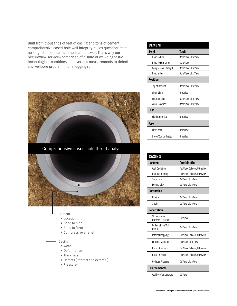Built from thousands of feet of casing and tons of cement, comprehensive cased-hole well integrity raises questions that no single tool or measurement can answer. That's why our SecureView service—comprised of a suite of well-diagnostic technologies—combines and overlaps measurements to detect any wellbore problem in one logging run.



Comprehensive cased-hole threat analysis



- Cement
	- Location
	- Bond to pipe
	- Bond to formation
	- Compressive strength

#### Casing

- Wear
- Deformation
- Thickness
- Defects (internal and external)
- Pressure

| <b>CEMENT</b>               |                     |  |  |  |
|-----------------------------|---------------------|--|--|--|
| <b>Bond</b>                 | <b>Tools</b>        |  |  |  |
| <b>Bond to Pipe</b>         | BondView, UltraView |  |  |  |
| <b>Bond to Formation</b>    | <b>BondView</b>     |  |  |  |
| <b>Compressive Strength</b> | BondView, UltraView |  |  |  |
| <b>Bond Index</b>           | BondView, UltraView |  |  |  |
| <b>Position</b>             |                     |  |  |  |
| Top of Cement               | BondView, UltraView |  |  |  |
| Channeling                  | <b>UltraView</b>    |  |  |  |
| Microannulus                | BondView, UltraView |  |  |  |
| Zonal Isolation             | BondView, UltraView |  |  |  |
| <b>Fluid</b>                |                     |  |  |  |
| <b>Fluid Properties</b>     | <b>UltraView</b>    |  |  |  |
| Type                        |                     |  |  |  |
| Lite/Foam                   | <b>UltraView</b>    |  |  |  |
| Green/Contaminated          | <b>UltraView</b>    |  |  |  |

| CASING                               |                              |  |
|--------------------------------------|------------------------------|--|
| <b>Position</b>                      | <b>Combination</b>           |  |
| <b>Well Deviation</b>                | FluxView, CalView, UltraView |  |
| <b>Relative Bearing</b>              | FluxView, CalView, UltraView |  |
| Trajectory                           | CalView. UltraView           |  |
| Eccentricity                         | CalView, UltraView           |  |
| <b>Contorsion</b>                    |                              |  |
| Ovality                              | CalView, UltraView           |  |
| Strain                               | CalView. UltraView           |  |
| <b>Penetration</b>                   |                              |  |
| % Penetration<br>(Internal/External) | FluxView                     |  |
| % Remaining Wall<br>(1D/0D)          | CalView, UltraView           |  |
| Internal Mapping                     | FluxView, CalView, UltraView |  |
| <b>External Mapping</b>              | FluxView, UltraView          |  |
| Defect Geometry                      | FluxView, CalView, UltraView |  |
| <b>Burst Pressure</b>                | FluxView, CalView, UltraView |  |
| <b>Collapse Pressure</b>             | CalView, UltraView           |  |
| <b>Environmental</b>                 |                              |  |
| <b>Wellbore Temperature</b>          | CalView                      |  |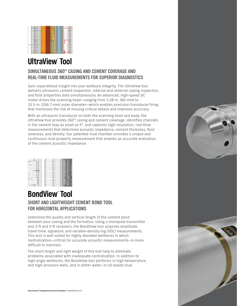

### **UltraView® Tool**

#### **SIMULTANEOUS 360° CASING AND CEMENT COVERAGE AND REAL-TIME FLUID MEASUREMENTS FOR SUPERIOR DIAGNOSTICS**

Gain unparalleled insight into your wellbore integrity. The UltraView tool delivers ultrasonic cement inspection, internal and external casing inspection, and fluid properties data simultaneously. An advanced, high-speed DC motor drives the scanning head—ranging from 3.38-in. (86-mm) to 10.5-in. (266.7-mm) outer diameter—which enables precision transducer firing that minimizes the risk of missing critical details and improves accuracy.

With an ultrasonic transducer on both the scanning head and body, the UltraView tool provides 360° casing and cement coverage, identifies channels in the cement map as small as 5°, and captures high-resolution, real-time measurements that determine acoustic impedance, cement thickness, fluid slowness, and density. Our patented mud chamber provides a unique and continuous mud-property measurement that enables an accurate evaluation of the cement acoustic impedance.

#### **SHORT AND LIGHTWEIGHT CEMENT BOND TOOL FOR HORIZONTAL APPLICATIONS BondView® Tool**

Determine the quality and vertical length of the cement bond between your casing and the formation. Using a monopole transmitter and 3-ft and 5-ft receivers, the BondView tool acquires amplitude, travel time, signature, and variable-density-log (VDL) measurements. This tool is well suited for highly deviated wellbores in which centralization—critical for accurate acoustic measurements—is more difficult to maintain.

The short length and light weight of this tool help to eliminate problems associated with inadequate centralization. In addition to high-angle wellbores, the BondView tool performs in high-temperature and high-pressure wells, and in either water- or oil-based mud.

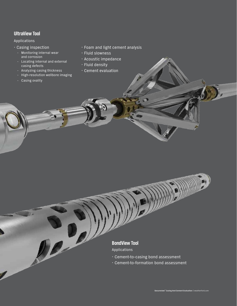#### **UltraView Tool**

#### Applications

- $\cdot$  Casing inspection
	- Monitoring internal wear and corrosion
	- Locating internal and external casing defects
	- Analyzing casing thickness
	- High-resolution wellbore imaging

De

– Casing ovality

- $\cdot$  Foam and light cement analysis
- · Fluid slowness
- $\cdot$  Acoustic impedance
- $\cdot$  Fluid density
- $\cdot$  Cement evaluation

#### **BondView Tool**

Applications

- $\cdot$  Cement-to-casing bond assessment
- $\cdot$  Cement-to-formation bond assessment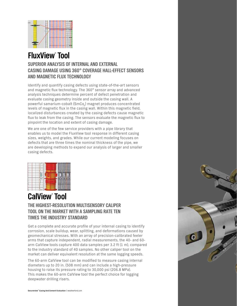

## **FluxView® Tool**

#### **SUPERIOR ANALYSIS OF INTERNAL AND EXTERNAL CASING DAMAGE USING 360° COVERAGE HALL-EFFECT SENSORS AND MAGNETIC FLUX TECHNOLOGY**

Identify and quantify casing defects using state-of-the-art sensors and magnetic flux technology. The 360° sensor array and advanced analysis techniques determine percent of defect penetration and evaluate casing geometry inside and outside the casing wall. A powerful samarium-cobalt (SmCo<sub>c</sub>) magnet produces concentrated levels of magnetic flux in the casing wall. Within this magnetic field, localized disturbances created by the casing defects cause magnetic flux to leak from the casing. The sensors evaluate the magnetic flux to pinpoint the location and extent of casing damage.

We are one of the few service providers with a pipe library that enables us to model the FluxView tool response in different casing sizes, weights, and grades. While our current modeling focuses on defects that are three times the nominal thickness of the pipe, we are developing methods to expand our analysis of larger and smaller casing defects.

|  |  | 1073 |
|--|--|------|
|  |  |      |
|  |  |      |
|  |  |      |

## **CalView® Tool**

#### **THE HIGHEST-RESOLUTION MULTISENSORY CALIPER TOOL ON THE MARKET WITH A SAMPLING RATE TEN TIMES THE INDUSTRY STANDARD**

Get a complete and accurate profile of your internal casing to identify corrosion, scale buildup, wear, splitting, and deformations caused by geomechanical stresses. With an array of precision-calibrated feeler arms that capture independent, radial measurements, the 40- and 60 arm CalView tools capture 400 data samples per 3.2 ft (1 m), compared to the industry standard of 40 samples. No other caliper tool on the market can deliver equivalent resolution at the same logging speeds.

The 60-arm CalView tool can be modified to measure casing internal diameters up to 20 in. (508 mm) and can include a high-pressure housing to raise its pressure rating to 30,000 psi (206.8 MPa). This makes the 60-arm CalView tool the perfect choice for logging deepwater drilling risers.

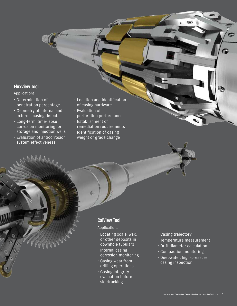#### **FluxView Tool**

Applications

- $\cdot$  Determination of penetration percentage
- x Geometry of internal and external casing defects
- $\cdot$  Long-term, time-lapse corrosion monitoring for storage and injection wells
- x Evaluation of anticorrosion system effectiveness
- $\cdot$  Location and identification of casing hardware
- x Evaluation of perforation performance
- x Establishment of remediation requirements  $\cdot$  Identification of casing
- weight or grade change

#### **CalView Tool**

Applications

- **Locating scale, wax,** or other deposits in downhole tubulars
- $\cdot$  Internal casing corrosion monitoring
- $\cdot$  Casing wear from drilling operations
- $\cdot$  Casing integrity evaluation before sidetracking
- $\cdot$  Casing trajectory
- $\cdot$  Temperature measurement
- $\cdot$  Drift diameter calculation
- $\cdot$  Compaction monitoring
- · Deepwater, high-pressure casing inspection